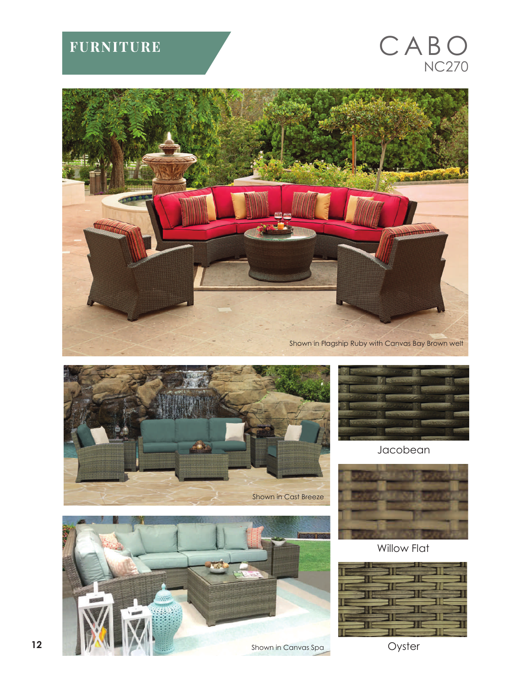## **FURNITURE**

## CABO NC270









Jacobean



Willow Flat